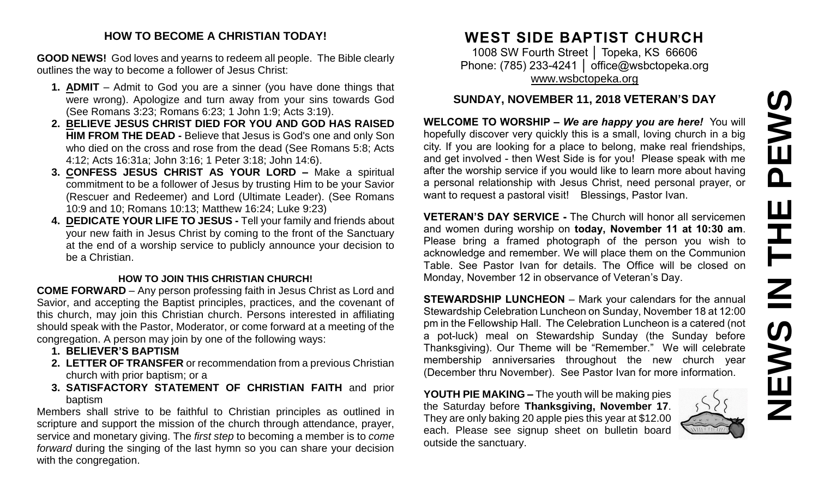# PEWS **NEWS IN THE PEWS**Ш H  $\overline{z}$ NEWS

#### **HOW TO BECOME A CHRISTIAN TODAY!**

**GOOD NEWS!** God loves and yearns to redeem all people. The Bible clearly outlines the way to become a follower of Jesus Christ:

- **1. ADMIT** Admit to God you are a sinner (you have done things that were wrong). Apologize and turn away from your sins towards God (See Romans 3:23; Romans 6:23; 1 John 1:9; Acts 3:19).
- **2. BELIEVE JESUS CHRIST DIED FOR YOU AND GOD HAS RAISED HIM FROM THE DEAD -** Believe that Jesus is God's one and only Son who died on the cross and rose from the dead (See Romans 5:8; Acts 4:12; Acts 16:31a; John 3:16; 1 Peter 3:18; John 14:6).
- **3. CONFESS JESUS CHRIST AS YOUR LORD –** Make a spiritual commitment to be a follower of Jesus by trusting Him to be your Savior (Rescuer and Redeemer) and Lord (Ultimate Leader). (See Romans 10:9 and 10; Romans 10:13; Matthew 16:24; Luke 9:23)
- **4. DEDICATE YOUR LIFE TO JESUS -** Tell your family and friends about your new faith in Jesus Christ by coming to the front of the Sanctuary at the end of a worship service to publicly announce your decision to be a Christian.

#### **HOW TO JOIN THIS CHRISTIAN CHURCH!**

**COME FORWARD** – Any person professing faith in Jesus Christ as Lord and Savior, and accepting the Baptist principles, practices, and the covenant of this church, may join this Christian church. Persons interested in affiliating should speak with the Pastor, Moderator, or come forward at a meeting of the congregation. A person may join by one of the following ways:

- **1. BELIEVER'S BAPTISM**
- **2. LETTER OF TRANSFER** or recommendation from a previous Christian church with prior baptism; or a
- **3. SATISFACTORY STATEMENT OF CHRISTIAN FAITH** and prior baptism

Members shall strive to be faithful to Christian principles as outlined in scripture and support the mission of the church through attendance, prayer, service and monetary giving. The *first step* to becoming a member is to *come forward* during the singing of the last hymn so you can share your decision with the congregation.

## **WEST SIDE BAPTIST CHURCH**

1008 SW Fourth Street │ Topeka, KS 66606 Phone: (785) 233-4241 | [office@wsbctopeka.org](mailto:office@wsbctopeka.org) [www.wsbctopeka.org](http://www.wsbctopeka.org/)

#### **SUNDAY, NOVEMBER 11, 2018 VETERAN'S DAY**

**WELCOME TO WORSHIP –** *We are happy you are here!* You will hopefully discover very quickly this is a small, loving church in a big city. If you are looking for a place to belong, make real friendships, and get involved - then West Side is for you! Please speak with me after the worship service if you would like to learn more about having a personal relationship with Jesus Christ, need personal prayer, or want to request a pastoral visit! Blessings, Pastor Ivan.

**VETERAN'S DAY SERVICE -** The Church will honor all servicemen and women during worship on **today, November 11 at 10:30 am**. Please bring a framed photograph of the person you wish to acknowledge and remember. We will place them on the Communion Table. See Pastor Ivan for details. The Office will be closed on Monday, November 12 in observance of Veteran's Day.

**STEWARDSHIP LUNCHEON** – Mark your calendars for the annual Stewardship Celebration Luncheon on Sunday, November 18 at 12:00 pm in the Fellowship Hall. The Celebration Luncheon is a catered (not a pot-luck) meal on Stewardship Sunday (the Sunday before Thanksgiving). Our Theme will be "Remember." We will celebrate membership anniversaries throughout the new church year (December thru November). See Pastor Ivan for more information.

**YOUTH PIE MAKING –** The youth will be making pies the Saturday before **Thanksgiving, November 17**. They are only baking 20 apple pies this year at \$12.00 each. Please see signup sheet on bulletin board outside the sanctuary.

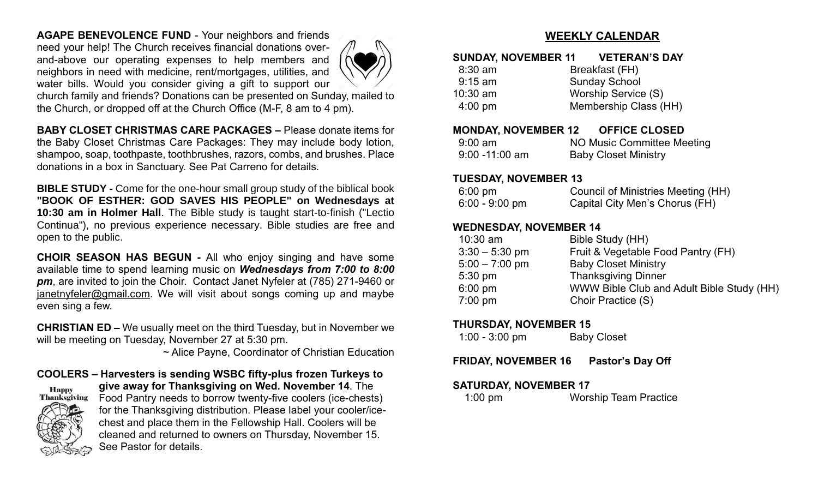**AGAPE BENEVOLENCE FUND** - Your neighbors and friends need your help! The Church receives financial donations overand-above our operating expenses to help members and neighbors in need with medicine, rent/mortgages, utilities, and water bills. Would you consider giving a gift to support our



church family and friends? Donations can be presented on Sunday, mailed to the Church, or dropped off at the Church Office (M-F, 8 am to 4 pm).

**BABY CLOSET CHRISTMAS CARE PACKAGES –** Please donate items for the Baby Closet Christmas Care Packages: They may include body lotion, shampoo, soap, toothpaste, toothbrushes, razors, combs, and brushes. Place donations in a box in Sanctuary. See Pat Carreno for details.

**BIBLE STUDY -** Come for the one-hour small group study of the biblical book **"BOOK OF ESTHER: GOD SAVES HIS PEOPLE" on Wednesdays at 10:30 am in Holmer Hall**. The Bible study is taught start-to-finish ("Lectio Continua"), no previous experience necessary. Bible studies are free and open to the public.

**CHOIR SEASON HAS BEGUN -** All who enjoy singing and have some available time to spend learning music on *Wednesdays from 7:00 to 8:00 pm*, are invited to join the Choir. Contact Janet Nyfeler at (785) 271-9460 or [janetnyfeler@gmail.com.](mailto:janetnyfeler@gmail.com) We will visit about songs coming up and maybe even sing a few.

**CHRISTIAN ED –** We usually meet on the third Tuesday, but in November we will be meeting on Tuesday, November 27 at 5:30 pm.

~ Alice Payne, Coordinator of Christian Education

**COOLERS – Harvesters is sending WSBC fifty-plus frozen Turkeys to give away for Thanksgiving on Wed. November 14**. The Happy<br>Thanksgiving Food Pantry needs to borrow twenty-five coolers (ice-chests) for the Thanksgiving distribution. Please label your cooler/icechest and place them in the Fellowship Hall. Coolers will be cleaned and returned to owners on Thursday, November 15. See Pastor for details.

#### **WEEKLY CALENDAR**

#### **SUNDAY, NOVEMBER 11 VETERAN'S DAY**

| $8:30$ am         | Breakfast (FH)        |
|-------------------|-----------------------|
| $9:15$ am         | <b>Sunday School</b>  |
| $10:30$ am        | Worship Service (S)   |
| $4:00 \text{ pm}$ | Membership Class (HH) |
|                   |                       |

#### **MONDAY, NOVEMBER 12 OFFICE CLOSED**

| $9:00$ am         | NO Music Committee Meeting  |
|-------------------|-----------------------------|
| $9:00 - 11:00$ am | <b>Baby Closet Ministry</b> |

#### **TUESDAY, NOVEMBER 13**

| $6:00 \text{ pm}$ | Council of Ministries Meeting (HH) |
|-------------------|------------------------------------|
| $6:00 - 9:00$ pm  | Capital City Men's Chorus (FH)     |

#### **WEDNESDAY, NOVEMBER 14**

| $10:30$ am        | Bible Study (HH)                          |
|-------------------|-------------------------------------------|
| $3:30 - 5:30$ pm  | Fruit & Vegetable Food Pantry (FH)        |
| $5:00 - 7:00$ pm  | <b>Baby Closet Ministry</b>               |
| $5:30 \text{ pm}$ | <b>Thanksgiving Dinner</b>                |
| $6:00 \text{ pm}$ | WWW Bible Club and Adult Bible Study (HH) |
| $7:00$ pm         | Choir Practice (S)                        |
|                   |                                           |

#### **THURSDAY, NOVEMBER 15**

| $1:00 - 3:00$ pm | <b>Baby Closet</b> |
|------------------|--------------------|
|------------------|--------------------|

**FRIDAY, NOVEMBER 16 Pastor's Day Off**

#### **SATURDAY, NOVEMBER 17**

1:00 pm Worship Team Practice

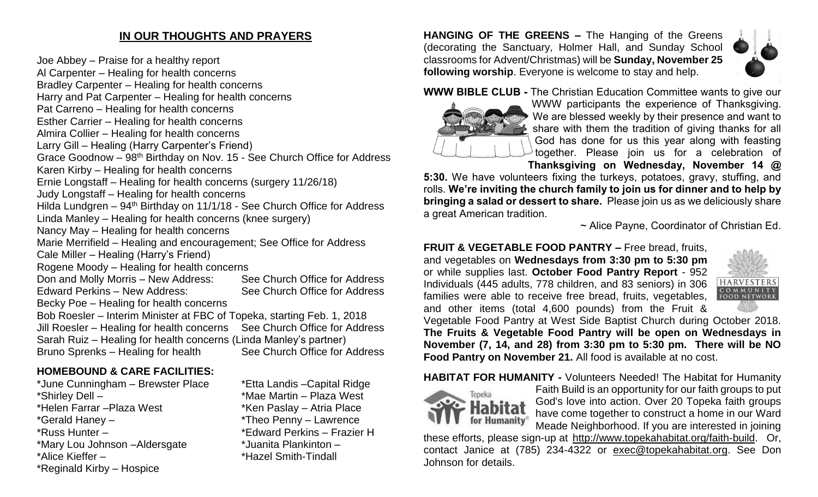#### **IN OUR THOUGHTS AND PRAYERS**

Joe Abbey – Praise for a healthy report Al Carpenter – Healing for health concerns Bradley Carpenter – Healing for health concerns Harry and Pat Carpenter – Healing for health concerns Pat Carreno – Healing for health concerns Esther Carrier – Healing for health concerns Almira Collier – Healing for health concerns Larry Gill – Healing (Harry Carpenter's Friend) Grace Goodnow - 98<sup>th</sup> Birthday on Nov. 15 - See Church Office for Address Karen Kirby – Healing for health concerns Ernie Longstaff – Healing for health concerns (surgery 11/26/18) Judy Longstaff – Healing for health concerns Hilda Lundgren –  $94<sup>th</sup>$  Birthday on 11/1/18 - See Church Office for Address Linda Manley – Healing for health concerns (knee surgery) Nancy May – Healing for health concerns Marie Merrifield – Healing and encouragement; See Office for Address Cale Miller – Healing (Harry's Friend) Rogene Moody – Healing for health concerns Don and Molly Morris – New Address: See Church Office for Address Edward Perkins – New Address: See Church Office for Address Becky Poe – Healing for health concerns Bob Roesler – Interim Minister at FBC of Topeka, starting Feb. 1, 2018 Jill Roesler – Healing for health concerns See Church Office for Address Sarah Ruiz – Healing for health concerns (Linda Manley's partner) Bruno Sprenks – Healing for health See Church Office for Address

#### **HOMEBOUND & CARE FACILITIES:**

\*June Cunningham – Brewster Place \*Etta Landis –Capital Ridge \*Shirley Dell – \*Mae Martin – Plaza West \*Helen Farrar – Plaza West \*Ken Paslay – Atria Place \*Gerald Haney – \*Theo Penny – Lawrence \*Russ Hunter – \*Edward Perkins – Frazier H \*Mary Lou Johnson –Aldersgate \*Juanita Plankinton – \*Alice Kieffer – \*Hazel Smith-Tindall \*Reginald Kirby – Hospice

**HANGING OF THE GREENS –** The Hanging of the Greens (decorating the Sanctuary, Holmer Hall, and Sunday School classrooms for Advent/Christmas) will be **Sunday, November 25 following worship**. Everyone is welcome to stay and help.



**WWW BIBLE CLUB -** The Christian Education Committee wants to give our



WWW participants the experience of Thanksgiving. We are blessed weekly by their presence and want to share with them the tradition of giving thanks for all God has done for us this year along with feasting together. Please join us for a celebration of **Thanksgiving on Wednesday, November 14 @** 

**5:30.** We have volunteers fixing the turkeys, potatoes, gravy, stuffing, and rolls. **We're inviting the church family to join us for dinner and to help by bringing a salad or dessert to share.** Please join us as we deliciously share a great American tradition.

~ Alice Payne, Coordinator of Christian Ed.

**FRUIT & VEGETABLE FOOD PANTRY –** Free bread, fruits, and vegetables on **Wednesdays from 3:30 pm to 5:30 pm**  or while supplies last. **October Food Pantry Report** - 952 Individuals (445 adults, 778 children, and 83 seniors) in 306 families were able to receive free bread, fruits, vegetables, and other items (total 4,600 pounds) from the Fruit &



Vegetable Food Pantry at West Side Baptist Church during October 2018. **The Fruits & Vegetable Food Pantry will be open on Wednesdays in November (7, 14, and 28) from 3:30 pm to 5:30 pm. There will be NO Food Pantry on November 21.** All food is available at no cost.

**HABITAT FOR HUMANITY -** Volunteers Needed! The Habitat for Humanity



Faith Build is an opportunity for our faith groups to put God's love into action. Over 20 Topeka faith groups have come together to construct a home in our Ward Meade Neighborhood. If you are interested in joining

these efforts, please sign-up at [http://www.topekahabitat.org/faith-build.](http://www.topekahabitat.org/faith-build) Or, contact Janice at (785) 234-4322 or [exec@topekahabitat.org.](mailto:exec@topekahabitat.org) See Don Johnson for details.